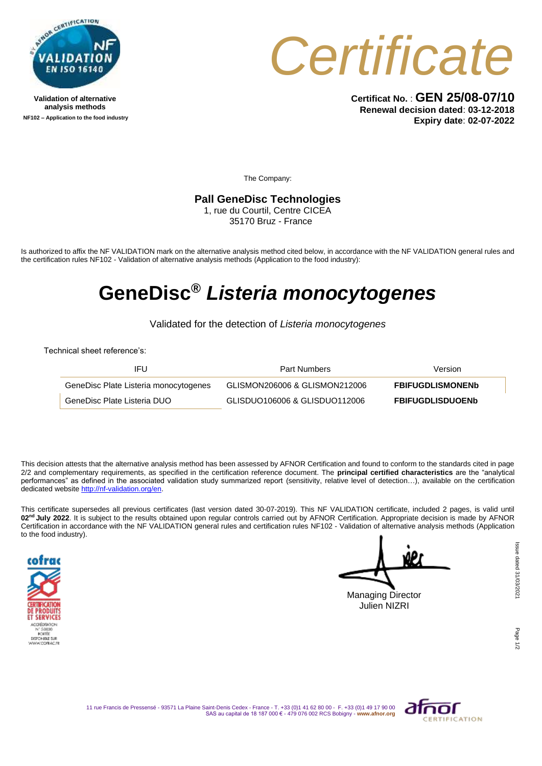

**Validation of alternative analysis methods NF102 – Application to the food industry**



**Certificat No.** : **GEN 25/08-07/10 Renewal decision dated**: **03-12-2018 Expiry date**: **02-07-2022**

The Company:

## **Pall GeneDisc Technologies**

1, rue du Courtil, Centre CICEA 35170 Bruz - France

Is authorized to affix the NF VALIDATION mark on the alternative analysis method cited below, in accordance with the NF VALIDATION general rules and the certification rules NF102 - Validation of alternative analysis methods (Application to the food industry):

## **GeneDisc®** *Listeria monocytogenes*

Validated for the detection of *Listeria monocytogenes*

Technical sheet reference's:

| IFU                                   | <b>Part Numbers</b>           | Version                 |
|---------------------------------------|-------------------------------|-------------------------|
| GeneDisc Plate Listeria monocytogenes | GLISMON206006 & GLISMON212006 | <b>FBIFUGDLISMONENb</b> |
| GeneDisc Plate Listeria DUO           | GLISDUO106006 & GLISDUO112006 | <b>FBIFUGDLISDUOENb</b> |

This decision attests that the alternative analysis method has been assessed by AFNOR Certification and found to conform to the standards cited in page 2/2 and complementary requirements, as specified in the certification reference document. The **principal certified characteristics** are the "analytical performances" as defined in the associated validation study summarized report (sensitivity, relative level of detection...), available on the certification dedicated websit[e http://nf-validation.org/en.](http://nf-validation.org/en)

This certificate supersedes all previous certificates (last version dated 30-07-2019). This NF VALIDATION certificate, included 2 pages, is valid until 02<sup>nd</sup> July 2022. It is subject to the results obtained upon regular controls carried out by AFNOR Certification. Appropriate decision is made by AFNOR Certification in accordance with the NF VALIDATION general rules and certification rules NF102 - Validation of alternative analysis methods (Application to the food industry).



Managing Director Julien NIZRI

Page